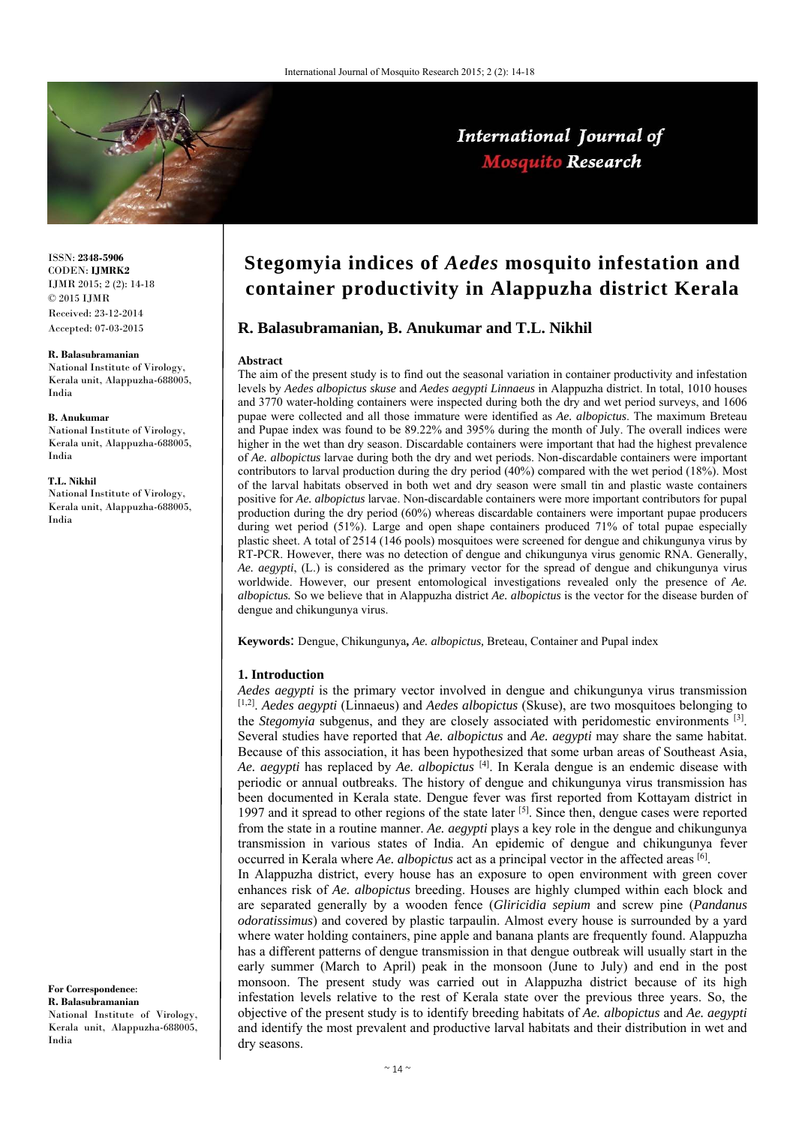**R. Balasubramanian, B. Anukumar and T.L. Nikhil** 



**Abstract**

ISSN: **2348-5906** CODEN: **IJMRK2** IJMR 2015; 2 (2): 14-18 © 2015 IJMR Received: 23-12-2014 Accepted: 07-03-2015

#### **R. Balasubramanian**

National Institute of Virology, Kerala unit, Alappuzha-688005, India

#### **B. Anukumar**

National Institute of Virology, Kerala unit, Alappuzha-688005, India

#### **T.L. Nikhil**

National Institute of Virology, Kerala unit, Alappuzha-688005, India

# and 3770 water-holding containers were inspected during both the dry and wet period surveys, and 1606 pupae were collected and all those immature were identified as *Ae. albopictus*. The maximum Breteau and Pupae index was found to be 89.22% and 395% during the month of July. The overall indices were

higher in the wet than dry season. Discardable containers were important that had the highest prevalence of *Ae. albopictus* larvae during both the dry and wet periods. Non-discardable containers were important contributors to larval production during the dry period (40%) compared with the wet period (18%). Most of the larval habitats observed in both wet and dry season were small tin and plastic waste containers positive for *Ae. albopictus* larvae. Non-discardable containers were more important contributors for pupal production during the dry period (60%) whereas discardable containers were important pupae producers during wet period (51%). Large and open shape containers produced 71% of total pupae especially plastic sheet. A total of 2514 (146 pools) mosquitoes were screened for dengue and chikungunya virus by RT-PCR. However, there was no detection of dengue and chikungunya virus genomic RNA. Generally, *Ae. aegypti*, (L.) is considered as the primary vector for the spread of dengue and chikungunya virus worldwide. However, our present entomological investigations revealed only the presence of *Ae. albopictus.* So we believe that in Alappuzha district *Ae. albopictus* is the vector for the disease burden of dengue and chikungunya virus.

**Stegomyia indices of** *Aedes* **mosquito infestation and** 

**container productivity in Alappuzha district Kerala** 

The aim of the present study is to find out the seasonal variation in container productivity and infestation levels by *Aedes albopictus skuse* and *Aedes aegypti Linnaeus* in Alappuzha district. In total, 1010 houses

**Keywords**: Dengue, Chikungunya**,** *Ae. albopictus,* Breteau, Container and Pupal index

#### **1. Introduction**

*Aedes aegypti* is the primary vector involved in dengue and chikungunya virus transmission [1,2]. *Aedes aegypti* (Linnaeus) and *Aedes albopictus* (Skuse), are two mosquitoes belonging to the *Stegomyia* subgenus, and they are closely associated with peridomestic environments [3]. Several studies have reported that *Ae. albopictus* and *Ae. aegypti* may share the same habitat. Because of this association, it has been hypothesized that some urban areas of Southeast Asia, *Ae. aegypti* has replaced by *Ae. albopictus* [4]. In Kerala dengue is an endemic disease with periodic or annual outbreaks. The history of dengue and chikungunya virus transmission has been documented in Kerala state. Dengue fever was first reported from Kottayam district in 1997 and it spread to other regions of the state later  $[5]$ . Since then, dengue cases were reported from the state in a routine manner. *Ae. aegypti* plays a key role in the dengue and chikungunya transmission in various states of India. An epidemic of dengue and chikungunya fever occurred in Kerala where *Ae. albopictus* act as a principal vector in the affected areas [6].

In Alappuzha district, every house has an exposure to open environment with green cover enhances risk of *Ae. albopictus* breeding. Houses are highly clumped within each block and are separated generally by a wooden fence (*Gliricidia sepium* and screw pine (*Pandanus odoratissimus*) and covered by plastic tarpaulin. Almost every house is surrounded by a yard where water holding containers, pine apple and banana plants are frequently found. Alappuzha has a different patterns of dengue transmission in that dengue outbreak will usually start in the early summer (March to April) peak in the monsoon (June to July) and end in the post monsoon. The present study was carried out in Alappuzha district because of its high infestation levels relative to the rest of Kerala state over the previous three years. So, the objective of the present study is to identify breeding habitats of *Ae. albopictus* and *Ae. aegypti* and identify the most prevalent and productive larval habitats and their distribution in wet and dry seasons.

**For Correspondence**: **R. Balasubramanian** National Institute of Virology, Kerala unit, Alappuzha-688005, India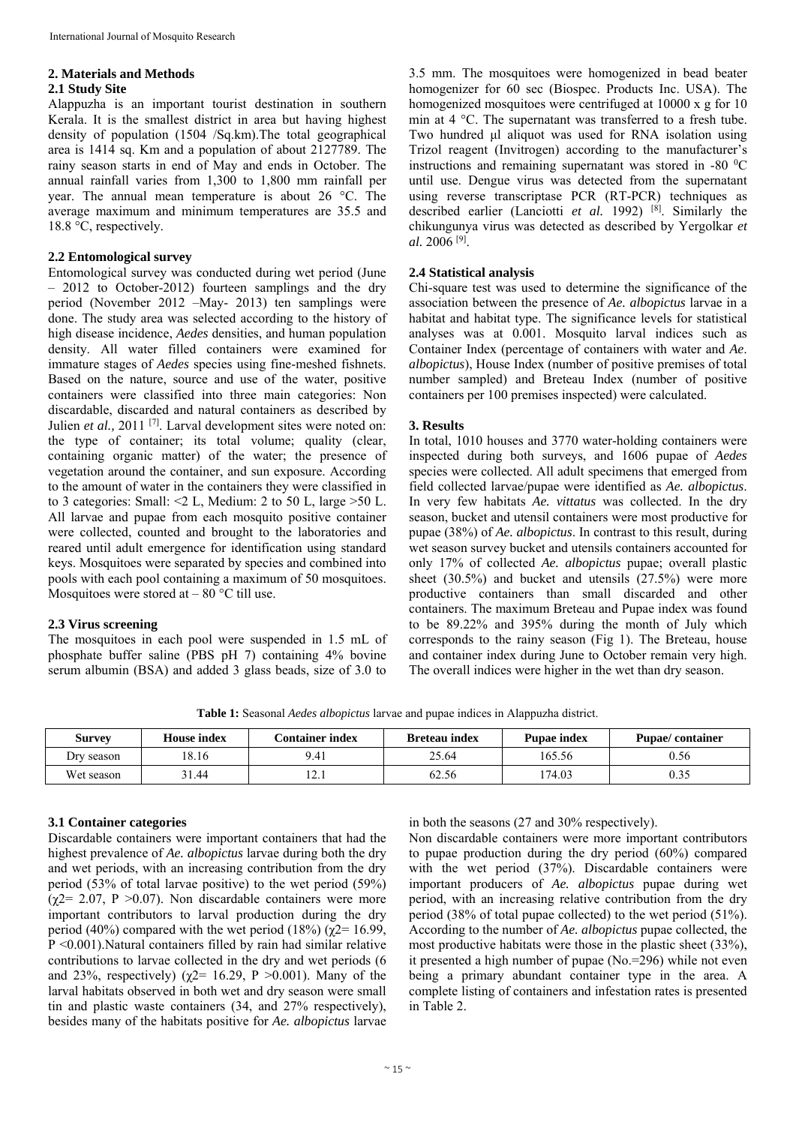#### **2. Materials and Methods**

#### **2.1 Study Site**

Alappuzha is an important tourist destination in southern Kerala. It is the smallest district in area but having highest density of population (1504 /Sq.km).The total geographical area is 1414 sq. Km and a population of about 2127789. The rainy season starts in end of May and ends in October. The annual rainfall varies from 1,300 to 1,800 mm rainfall per year. The annual mean temperature is about 26 °C. The average maximum and minimum temperatures are 35.5 and 18.8 °C, respectively.

#### **2.2 Entomological survey**

Entomological survey was conducted during wet period (June – 2012 to October-2012) fourteen samplings and the dry period (November 2012 –May- 2013) ten samplings were done. The study area was selected according to the history of high disease incidence, *Aedes* densities, and human population density. All water filled containers were examined for immature stages of *Aedes* species using fine-meshed fishnets. Based on the nature, source and use of the water, positive containers were classified into three main categories: Non discardable, discarded and natural containers as described by Julien et al., 2011<sup>[7]</sup>. Larval development sites were noted on: the type of container; its total volume; quality (clear, containing organic matter) of the water; the presence of vegetation around the container, and sun exposure. According to the amount of water in the containers they were classified in to 3 categories: Small:  $\leq 2$  L, Medium: 2 to 50 L, large  $> 50$  L. All larvae and pupae from each mosquito positive container were collected, counted and brought to the laboratories and reared until adult emergence for identification using standard keys. Mosquitoes were separated by species and combined into pools with each pool containing a maximum of 50 mosquitoes. Mosquitoes were stored at  $-80^{\circ}$ C till use.

#### **2.3 Virus screening**

The mosquitoes in each pool were suspended in 1.5 mL of phosphate buffer saline (PBS pH 7) containing 4% bovine serum albumin (BSA) and added 3 glass beads, size of 3.0 to

3.5 mm. The mosquitoes were homogenized in bead beater homogenizer for 60 sec (Biospec. Products Inc. USA). The homogenized mosquitoes were centrifuged at 10000 x g for 10 min at 4 °C. The supernatant was transferred to a fresh tube. Two hundred μl aliquot was used for RNA isolation using Trizol reagent (Invitrogen) according to the manufacturer's instructions and remaining supernatant was stored in -80  $^{\circ}$ C until use. Dengue virus was detected from the supernatant using reverse transcriptase PCR (RT-PCR) techniques as described earlier (Lanciotti *et al.* 1992) [8]. Similarly the chikungunya virus was detected as described by Yergolkar *et al.* 2006 [9].

#### **2.4 Statistical analysis**

Chi-square test was used to determine the significance of the association between the presence of *Ae. albopictus* larvae in a habitat and habitat type. The significance levels for statistical analyses was at 0.001. Mosquito larval indices such as Container Index (percentage of containers with water and *Ae*. *albopictus*), House Index (number of positive premises of total number sampled) and Breteau Index (number of positive containers per 100 premises inspected) were calculated.

### **3. Results**

In total, 1010 houses and 3770 water-holding containers were inspected during both surveys, and 1606 pupae of *Aedes*  species were collected. All adult specimens that emerged from field collected larvae/pupae were identified as *Ae. albopictus*. In very few habitats *Ae. vittatus* was collected. In the dry season, bucket and utensil containers were most productive for pupae (38%) of *Ae. albopictus*. In contrast to this result, during wet season survey bucket and utensils containers accounted for only 17% of collected *Ae. albopictus* pupae; overall plastic sheet (30.5%) and bucket and utensils (27.5%) were more productive containers than small discarded and other containers. The maximum Breteau and Pupae index was found to be 89.22% and 395% during the month of July which corresponds to the rainy season (Fig 1). The Breteau, house and container index during June to October remain very high. The overall indices were higher in the wet than dry season.

**Table 1:** Seasonal *Aedes albopictus* larvae and pupae indices in Alappuzha district.

| Survey     | <b>House index</b> | <b>Container index</b> | <b>Breteau index</b> | <b>Pupae index</b> | <b>Pupae/container</b> |
|------------|--------------------|------------------------|----------------------|--------------------|------------------------|
| Dry season | 18.16              | 9.41                   | 25.64                | 165.56             | J.56                   |
| Wet season | 31.44              | $\sim$<br>14.1         | 62.56                | 174.03             | $0.3\degree$           |

## **3.1 Container categories**

Discardable containers were important containers that had the highest prevalence of *Ae. albopictus* larvae during both the dry and wet periods, with an increasing contribution from the dry period (53% of total larvae positive) to the wet period (59%) ( $\chi$ 2= 2.07, P > 0.07). Non discardable containers were more important contributors to larval production during the dry period (40%) compared with the wet period (18%) ( $\gamma$ 2= 16.99, P <0.001).Natural containers filled by rain had similar relative contributions to larvae collected in the dry and wet periods (6 and 23%, respectively) ( $\chi$ 2= 16.29, P >0.001). Many of the larval habitats observed in both wet and dry season were small tin and plastic waste containers (34, and 27% respectively), besides many of the habitats positive for *Ae. albopictus* larvae in both the seasons (27 and 30% respectively).

Non discardable containers were more important contributors to pupae production during the dry period (60%) compared with the wet period (37%). Discardable containers were important producers of *Ae. albopictus* pupae during wet period, with an increasing relative contribution from the dry period (38% of total pupae collected) to the wet period (51%). According to the number of *Ae. albopictus* pupae collected, the most productive habitats were those in the plastic sheet (33%), it presented a high number of pupae (No.=296) while not even being a primary abundant container type in the area. A complete listing of containers and infestation rates is presented in Table 2.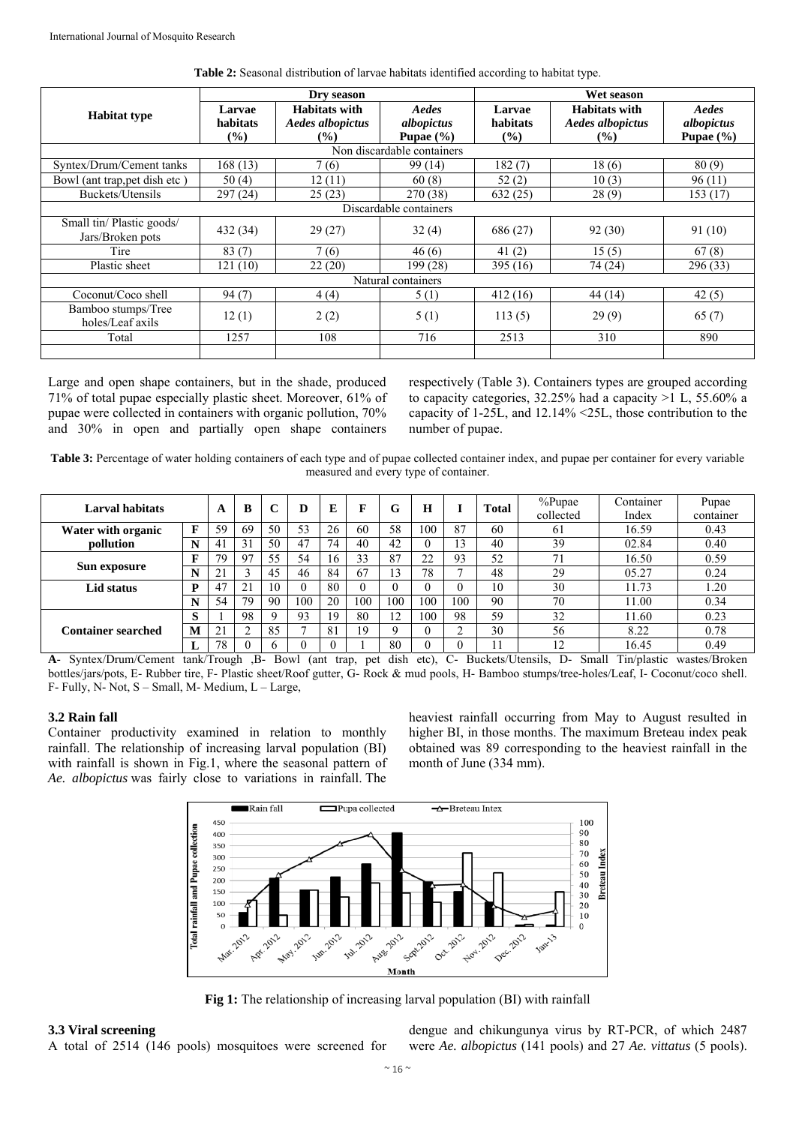|                                               |                    | Dry season                               |                     | Wet season         |                                                 |                     |  |  |  |  |
|-----------------------------------------------|--------------------|------------------------------------------|---------------------|--------------------|-------------------------------------------------|---------------------|--|--|--|--|
| <b>Habitat type</b>                           | Larvae<br>habitats | <b>Habitats with</b><br>Aedes albopictus | Aedes<br>albopictus | Larvae<br>habitats | <b>Habitats with</b><br><b>Aedes albopictus</b> | Aedes<br>albopictus |  |  |  |  |
|                                               | $($ %)             | $($ %)                                   | Pupae $(\% )$       | $($ %)             | $($ %)                                          | Pupae $(\% )$       |  |  |  |  |
| Non discardable containers                    |                    |                                          |                     |                    |                                                 |                     |  |  |  |  |
| Syntex/Drum/Cement tanks                      | 168 (13)           | 7(6)                                     | 99 (14)             | 182(7)             | 18(6)                                           | 80(9)               |  |  |  |  |
| Bowl (ant trap, pet dish etc)                 | 50 $(4)$           | 12(11)                                   | 60(8)               | 52(2)              | 10(3)                                           | 96(11)              |  |  |  |  |
| Buckets/Utensils                              | 297(24)            | 25(23)                                   | 270 (38)            | 632(25)            | 28(9)                                           | 153 (17)            |  |  |  |  |
| Discardable containers                        |                    |                                          |                     |                    |                                                 |                     |  |  |  |  |
| Small tin/ Plastic goods/<br>Jars/Broken pots | 432 (34)           | 29(27)                                   | 32(4)               | 686 (27)           | 92(30)                                          | 91 (10)             |  |  |  |  |
| Tire                                          | 83(7)              | 7(6)                                     | 46(6)               | 41 $(2)$           | 15(5)                                           | 67(8)               |  |  |  |  |
| Plastic sheet                                 | 121 (10)           | 22(20)                                   | 199(28)             | 395 (16)           | 74 (24)                                         | 296(33)             |  |  |  |  |
| Natural containers                            |                    |                                          |                     |                    |                                                 |                     |  |  |  |  |
| Coconut/Coco shell                            | 94(7)              | 4(4)                                     | 5(1)                | 412 (16)           | 44 (14)                                         | 42(5)               |  |  |  |  |
| Bamboo stumps/Tree<br>holes/Leaf axils        | 12(1)              | 2(2)                                     | 5(1)                | 113(5)             | 29(9)                                           | 65(7)               |  |  |  |  |
| Total                                         | 1257               | 108                                      | 716                 | 2513               | 310                                             | 890                 |  |  |  |  |
|                                               |                    |                                          |                     |                    |                                                 |                     |  |  |  |  |

**Table 2:** Seasonal distribution of larvae habitats identified according to habitat type.

Large and open shape containers, but in the shade, produced 71% of total pupae especially plastic sheet. Moreover, 61% of pupae were collected in containers with organic pollution, 70% and 30% in open and partially open shape containers

respectively (Table 3). Containers types are grouped according to capacity categories, 32.25% had a capacity >1 L, 55.60% a capacity of 1-25L, and 12.14% <25L, those contribution to the number of pupae.

**Table 3:** Percentage of water holding containers of each type and of pupae collected container index, and pupae per container for every variable measured and every type of container.

| <b>Larval habitats</b>    |              | A  | B           |    | D   | E  | F   | G   | H   |     | Total | %Pupae    | Container | Pupae     |
|---------------------------|--------------|----|-------------|----|-----|----|-----|-----|-----|-----|-------|-----------|-----------|-----------|
|                           |              |    |             |    |     |    |     |     |     |     |       | collected | Index     | container |
| Water with organic        | F            | 59 | 69          | 50 | 53  | 26 | 60  | 58  | 100 | 87  | 60    | 61        | 16.59     | 0.43      |
| pollution                 | N            | 41 | 31          | 50 | 47  | 74 | 40  | 42  | 0   | 3   | 40    | 39        | 02.84     | 0.40      |
|                           | F            | 79 | 97          | 55 | 54  | 16 | 33  | 87  | 22  | 93  | 52    | 71        | 16.50     | 0.59      |
| Sun exposure              | NT           | ∠. |             | 45 | 46  | 84 | -67 | 13  | 78  |     | 48    | 29        | 05.27     | 0.24      |
| Lid status                | D            | 47 | $2^{\circ}$ | 10 |     | 80 |     |     |     |     | 10    | 30        | 11.73     | 1.20      |
|                           | N            | 54 | 79          | 90 | 100 | 20 | 100 | 100 | 100 | 100 | 90    | 70        | 11.00     | 0.34      |
|                           | $\sim$<br>C. |    | 98          | Q  | 93  | 19 | 80  | 12  | 100 | 98  | 59    | 32        | 1.60      | 0.23      |
| <b>Container searched</b> | M            | 41 |             | 85 | –   | 81 | 19  |     | U   | ◠   | 30    | 56        | 8.22      | 0.78      |
|                           |              | 78 |             |    |     |    |     | 80  |     |     |       | 12        | 16.45     | 0.49      |

**A**- Syntex/Drum/Cement tank/Trough ,B- Bowl (ant trap, pet dish etc), C- Buckets/Utensils, D- Small Tin/plastic wastes/Broken bottles/jars/pots, E- Rubber tire, F- Plastic sheet/Roof gutter, G- Rock & mud pools, H- Bamboo stumps/tree-holes/Leaf, I- Coconut/coco shell. F- Fully, N- Not, S – Small, M- Medium, L – Large,

#### **3.2 Rain fall**

Container productivity examined in relation to monthly rainfall. The relationship of increasing larval population (BI) with rainfall is shown in Fig.1, where the seasonal pattern of *Ae. albopictus* was fairly close to variations in rainfall. The

heaviest rainfall occurring from May to August resulted in higher BI, in those months. The maximum Breteau index peak obtained was 89 corresponding to the heaviest rainfall in the month of June (334 mm).



**Fig 1:** The relationship of increasing larval population (BI) with rainfall

#### **3.3 Viral screening**

A total of 2514 (146 pools) mosquitoes were screened for

dengue and chikungunya virus by RT-PCR, of which 2487 were *Ae. albopictus* (141 pools) and 27 *Ae. vittatus* (5 pools).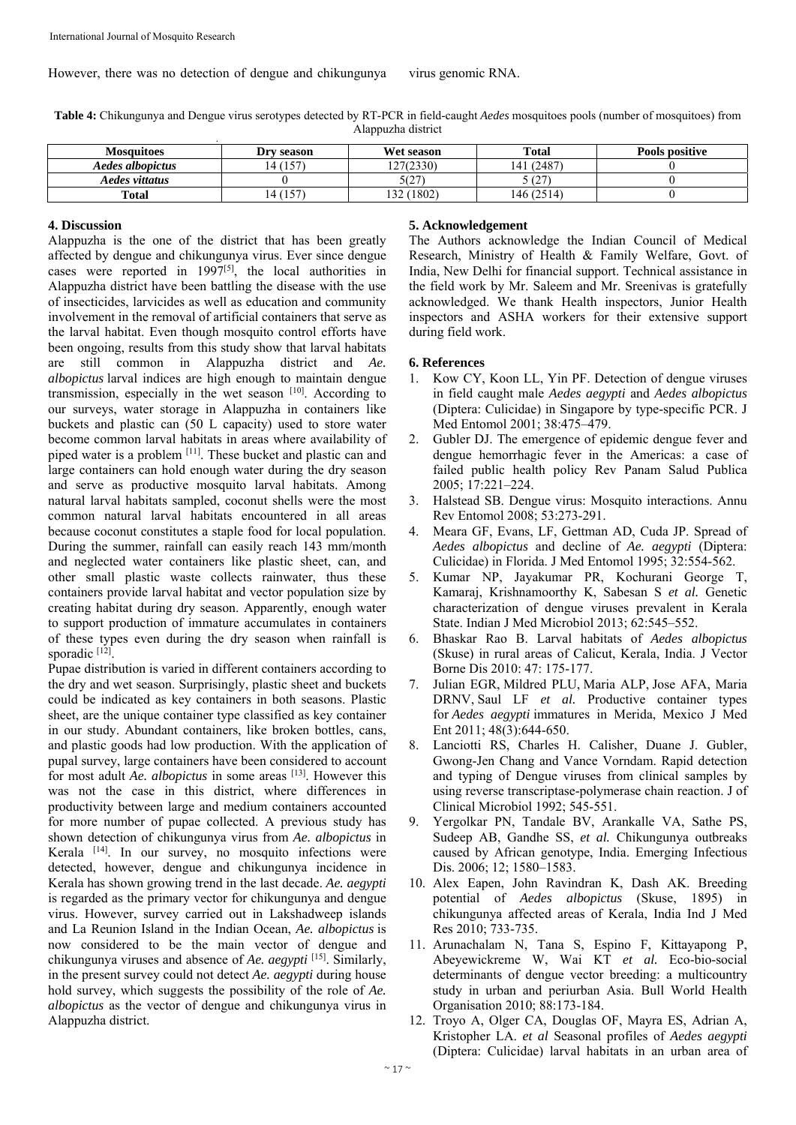However, there was no detection of dengue and chikungunya virus genomic RNA.

**Table 4:** Chikungunya and Dengue virus serotypes detected by RT-PCR in field-caught *Aedes* mosquitoes pools (number of mosquitoes) from Alappuzha district **.** 

| <b>Mosquitoes</b> | Dry season            | Wet season       | <b>Total</b>   | Pools positive |
|-------------------|-----------------------|------------------|----------------|----------------|
| Aedes albopictus  | (157                  | 127(2330)        | (2487)<br>.41  |                |
| Aedes vittatus    |                       | 5(27)            | (27)<br>$\sim$ |                |
| <b>Total</b>      | 157<br>$\overline{1}$ | (1802)<br>$\sim$ | 146 (2514)     |                |

#### **4. Discussion**

Alappuzha is the one of the district that has been greatly affected by dengue and chikungunya virus. Ever since dengue cases were reported in 1997[5], the local authorities in Alappuzha district have been battling the disease with the use of insecticides, larvicides as well as education and community involvement in the removal of artificial containers that serve as the larval habitat. Even though mosquito control efforts have been ongoing, results from this study show that larval habitats are still common in Alappuzha district and *Ae. albopictus* larval indices are high enough to maintain dengue transmission, especially in the wet season [10]. According to our surveys, water storage in Alappuzha in containers like buckets and plastic can (50 L capacity) used to store water become common larval habitats in areas where availability of piped water is a problem [11]. These bucket and plastic can and large containers can hold enough water during the dry season and serve as productive mosquito larval habitats. Among natural larval habitats sampled, coconut shells were the most common natural larval habitats encountered in all areas because coconut constitutes a staple food for local population. During the summer, rainfall can easily reach 143 mm/month and neglected water containers like plastic sheet, can, and other small plastic waste collects rainwater, thus these containers provide larval habitat and vector population size by creating habitat during dry season. Apparently, enough water to support production of immature accumulates in containers of these types even during the dry season when rainfall is sporadic [12]

Pupae distribution is varied in different containers according to the dry and wet season. Surprisingly, plastic sheet and buckets could be indicated as key containers in both seasons. Plastic sheet, are the unique container type classified as key container in our study. Abundant containers, like broken bottles, cans, and plastic goods had low production. With the application of pupal survey, large containers have been considered to account for most adult *Ae. albopictus* in some areas [13]. However this was not the case in this district, where differences in productivity between large and medium containers accounted for more number of pupae collected. A previous study has shown detection of chikungunya virus from *Ae. albopictus* in Kerala [14]. In our survey, no mosquito infections were detected, however, dengue and chikungunya incidence in Kerala has shown growing trend in the last decade. *Ae. aegypti* is regarded as the primary vector for chikungunya and dengue virus. However, survey carried out in Lakshadweep islands and La Reunion Island in the Indian Ocean, *Ae. albopictus* is now considered to be the main vector of dengue and chikungunya viruses and absence of *Ae. aegypti* [15]. Similarly, in the present survey could not detect *Ae. aegypti* during house hold survey, which suggests the possibility of the role of *Ae. albopictus* as the vector of dengue and chikungunya virus in Alappuzha district.

### **5. Acknowledgement**

The Authors acknowledge the Indian Council of Medical Research, Ministry of Health & Family Welfare, Govt. of India, New Delhi for financial support. Technical assistance in the field work by Mr. Saleem and Mr. Sreenivas is gratefully acknowledged. We thank Health inspectors, Junior Health inspectors and ASHA workers for their extensive support during field work.

### **6. References**

- 1. Kow CY, Koon LL, Yin PF. Detection of dengue viruses in field caught male *Aedes aegypti* and *Aedes albopictus* (Diptera: Culicidae) in Singapore by type-specific PCR. J Med Entomol 2001; 38:475–479.
- 2. Gubler DJ. The emergence of epidemic dengue fever and dengue hemorrhagic fever in the Americas: a case of failed public health policy Rev Panam Salud Publica 2005; 17:221–224.
- 3. Halstead SB. Dengue virus: Mosquito interactions. Annu Rev Entomol 2008; 53:273-291.
- 4. Meara GF, Evans, LF, Gettman AD, Cuda JP. Spread of *Aedes albopictus* and decline of *Ae. aegypti* (Diptera: Culicidae) in Florida. J Med Entomol 1995; 32:554-562.
- 5. Kumar NP, Jayakumar PR, Kochurani George T, Kamaraj, Krishnamoorthy K, Sabesan S *et al.* Genetic characterization of dengue viruses prevalent in Kerala State. Indian J Med Microbiol 2013; 62:545–552.
- 6. Bhaskar Rao B. Larval habitats of *Aedes albopictus* (Skuse) in rural areas of Calicut, Kerala, India. J Vector Borne Dis 2010: 47: 175-177.
- 7. Julian EGR, Mildred PLU, Maria ALP, Jose AFA, Maria DRNV, Saul LF *et al.* Productive container types for *Aedes aegypti* immatures in Merida, Mexico J Med Ent 2011; 48(3):644-650.
- 8. Lanciotti RS, Charles H. Calisher, Duane J. Gubler, Gwong-Jen Chang and Vance Vorndam. Rapid detection and typing of Dengue viruses from clinical samples by using reverse transcriptase-polymerase chain reaction. J of Clinical Microbiol 1992; 545-551.
- 9. Yergolkar PN, Tandale BV, Arankalle VA, Sathe PS, Sudeep AB, Gandhe SS, *et al.* Chikungunya outbreaks caused by African genotype, India. Emerging Infectious Dis. 2006; 12; 1580–1583.
- 10. Alex Eapen, John Ravindran K, Dash AK. Breeding potential of *Aedes albopictus* (Skuse, 1895) in chikungunya affected areas of Kerala, India Ind J Med Res 2010; 733-735.
- 11. Arunachalam N, Tana S, Espino F, Kittayapong P, Abeyewickreme W, Wai KT *et al.* Eco-bio-social determinants of dengue vector breeding: a multicountry study in urban and periurban Asia. Bull World Health Organisation 2010; 88:173-184.
- 12. Troyo A, Olger CA, Douglas OF, Mayra ES, Adrian A, Kristopher LA. *et al* Seasonal profiles of *Aedes aegypti*  (Diptera: Culicidae) larval habitats in an urban area of